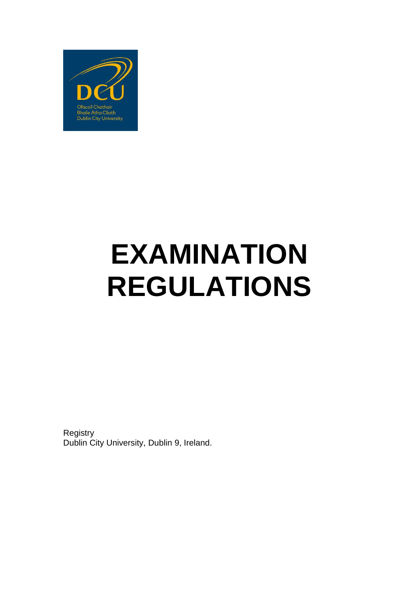

# **EXAMINATION REGULATIONS**

**Registry** Dublin City University, Dublin 9, Ireland.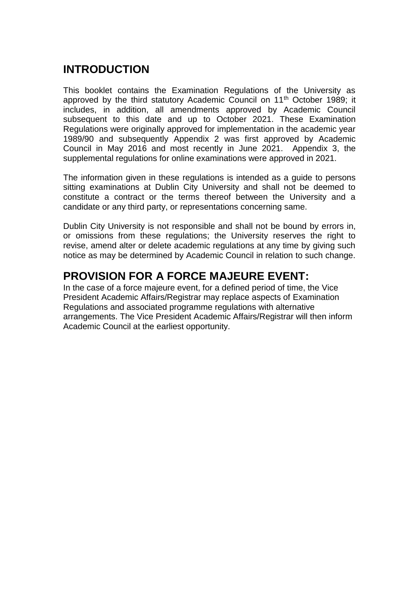# **INTRODUCTION**

This booklet contains the Examination Regulations of the University as approved by the third statutory Academic Council on 11<sup>th</sup> October 1989; it includes, in addition, all amendments approved by Academic Council subsequent to this date and up to October 2021. These Examination Regulations were originally approved for implementation in the academic year 1989/90 and subsequently Appendix 2 was first approved by Academic Council in May 2016 and most recently in June 2021. Appendix 3, the supplemental regulations for online examinations were approved in 2021.

The information given in these regulations is intended as a guide to persons sitting examinations at Dublin City University and shall not be deemed to constitute a contract or the terms thereof between the University and a candidate or any third party, or representations concerning same.

Dublin City University is not responsible and shall not be bound by errors in, or omissions from these regulations; the University reserves the right to revise, amend alter or delete academic regulations at any time by giving such notice as may be determined by Academic Council in relation to such change.

# **PROVISION FOR A FORCE MAJEURE EVENT:**

In the case of a force majeure event, for a defined period of time, the Vice President Academic Affairs/Registrar may replace aspects of Examination Regulations and associated programme regulations with alternative arrangements. The Vice President Academic Affairs/Registrar will then inform Academic Council at the earliest opportunity.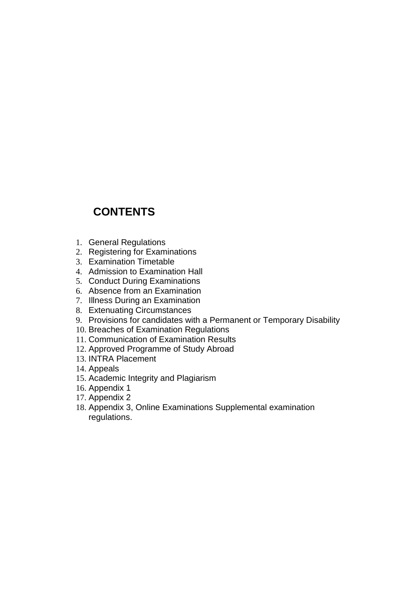# **CONTENTS**

- 1. General Regulations
- 2. Registering for Examinations
- 3. Examination Timetable
- 4. Admission to Examination Hall
- 5. Conduct During Examinations
- 6. Absence from an Examination
- 7. Illness During an Examination
- 8. Extenuating Circumstances
- 9. Provisions for candidates with a Permanent or Temporary Disability
- 10. Breaches of Examination Regulations
- 11. Communication of Examination Results
- 12. Approved Programme of Study Abroad
- 13. INTRA Placement
- 14. Appeals
- 15. Academic Integrity and Plagiarism
- 16. Appendix 1
- 17. Appendix 2
- 18. Appendix 3, Online Examinations Supplemental examination regulations.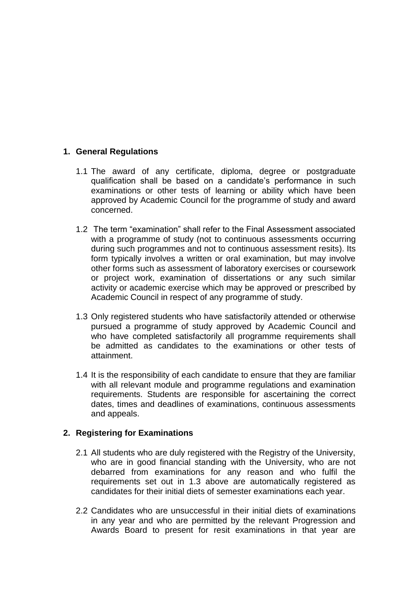# **1. General Regulations**

- 1.1 The award of any certificate, diploma, degree or postgraduate qualification shall be based on a candidate's performance in such examinations or other tests of learning or ability which have been approved by Academic Council for the programme of study and award concerned.
- 1.2 The term "examination" shall refer to the Final Assessment associated with a programme of study (not to continuous assessments occurring during such programmes and not to continuous assessment resits). Its form typically involves a written or oral examination, but may involve other forms such as assessment of laboratory exercises or coursework or project work, examination of dissertations or any such similar activity or academic exercise which may be approved or prescribed by Academic Council in respect of any programme of study.
- 1.3 Only registered students who have satisfactorily attended or otherwise pursued a programme of study approved by Academic Council and who have completed satisfactorily all programme requirements shall be admitted as candidates to the examinations or other tests of attainment.
- 1.4 It is the responsibility of each candidate to ensure that they are familiar with all relevant module and programme regulations and examination requirements. Students are responsible for ascertaining the correct dates, times and deadlines of examinations, continuous assessments and appeals.

#### **2. Registering for Examinations**

- 2.1 All students who are duly registered with the Registry of the University, who are in good financial standing with the University, who are not debarred from examinations for any reason and who fulfil the requirements set out in 1.3 above are automatically registered as candidates for their initial diets of semester examinations each year.
- 2.2 Candidates who are unsuccessful in their initial diets of examinations in any year and who are permitted by the relevant Progression and Awards Board to present for resit examinations in that year are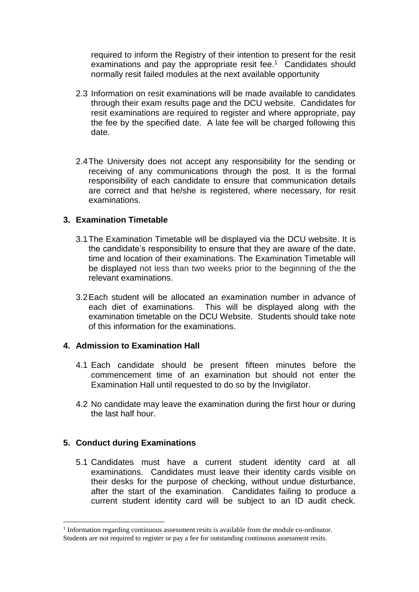required to inform the Registry of their intention to present for the resit examinations and pay the appropriate resit fee.<sup>1</sup> Candidates should normally resit failed modules at the next available opportunity

- 2.3 Information on resit examinations will be made available to candidates through their exam results page and the DCU website. Candidates for resit examinations are required to register and where appropriate, pay the fee by the specified date. A late fee will be charged following this date.
- 2.4The University does not accept any responsibility for the sending or receiving of any communications through the post. It is the formal responsibility of each candidate to ensure that communication details are correct and that he/she is registered, where necessary, for resit examinations.

# **3. Examination Timetable**

- 3.1The Examination Timetable will be displayed via the DCU website. It is the candidate's responsibility to ensure that they are aware of the date, time and location of their examinations. The Examination Timetable will be displayed not less than two weeks prior to the beginning of the the relevant examinations.
- 3.2Each student will be allocated an examination number in advance of each diet of examinations. This will be displayed along with the examination timetable on the DCU Website. Students should take note of this information for the examinations.

#### **4. Admission to Examination Hall**

- 4.1 Each candidate should be present fifteen minutes before the commencement time of an examination but should not enter the Examination Hall until requested to do so by the Invigilator.
- 4.2 No candidate may leave the examination during the first hour or during the last half hour.

# **5. Conduct during Examinations**

 $\overline{a}$ 

5.1 Candidates must have a current student identity card at all examinations. Candidates must leave their identity cards visible on their desks for the purpose of checking, without undue disturbance, after the start of the examination. Candidates failing to produce a current student identity card will be subject to an ID audit check.

<sup>&</sup>lt;sup>1</sup> Information regarding continuous assessment resits is available from the module co-ordinator. Students are not required to register or pay a fee for outstanding continuous assessment resits.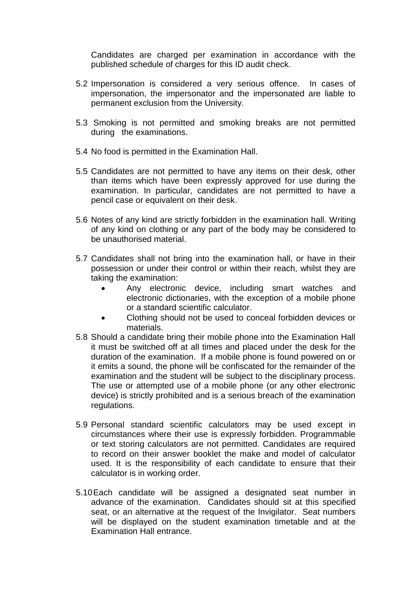Candidates are charged per examination in accordance with the published schedule of charges for this ID audit check.

- 5.2 Impersonation is considered a very serious offence. In cases of impersonation, the impersonator and the impersonated are liable to permanent exclusion from the University.
- 5.3 Smoking is not permitted and smoking breaks are not permitted during the examinations.
- 5.4 No food is permitted in the Examination Hall.
- 5.5 Candidates are not permitted to have any items on their desk, other than items which have been expressly approved for use during the examination. In particular, candidates are not permitted to have a pencil case or equivalent on their desk.
- 5.6 Notes of any kind are strictly forbidden in the examination hall. Writing of any kind on clothing or any part of the body may be considered to be unauthorised material.
- 5.7 Candidates shall not bring into the examination hall, or have in their possession or under their control or within their reach, whilst they are taking the examination:
	- Any electronic device, including smart watches and electronic dictionaries, with the exception of a mobile phone or a standard scientific calculator.
	- Clothing should not be used to conceal forbidden devices or materials.
- 5.8 Should a candidate bring their mobile phone into the Examination Hall it must be switched off at all times and placed under the desk for the duration of the examination. If a mobile phone is found powered on or it emits a sound, the phone will be confiscated for the remainder of the examination and the student will be subject to the disciplinary process. The use or attempted use of a mobile phone (or any other electronic device) is strictly prohibited and is a serious breach of the examination regulations.
- 5.9 Personal standard scientific calculators may be used except in circumstances where their use is expressly forbidden. Programmable or text storing calculators are not permitted. Candidates are required to record on their answer booklet the make and model of calculator used. It is the responsibility of each candidate to ensure that their calculator is in working order.
- 5.10Each candidate will be assigned a designated seat number in advance of the examination. Candidates should sit at this specified seat, or an alternative at the request of the Invigilator. Seat numbers will be displayed on the student examination timetable and at the Examination Hall entrance.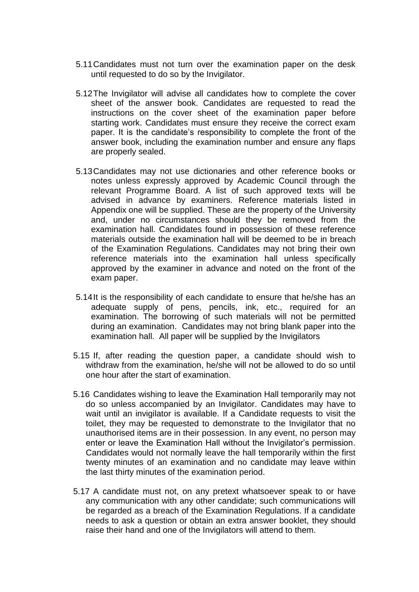- 5.11Candidates must not turn over the examination paper on the desk until requested to do so by the Invigilator.
- 5.12The Invigilator will advise all candidates how to complete the cover sheet of the answer book. Candidates are requested to read the instructions on the cover sheet of the examination paper before starting work. Candidates must ensure they receive the correct exam paper. It is the candidate's responsibility to complete the front of the answer book, including the examination number and ensure any flaps are properly sealed.
- 5.13Candidates may not use dictionaries and other reference books or notes unless expressly approved by Academic Council through the relevant Programme Board. A list of such approved texts will be advised in advance by examiners. Reference materials listed in Appendix one will be supplied. These are the property of the University and, under no circumstances should they be removed from the examination hall. Candidates found in possession of these reference materials outside the examination hall will be deemed to be in breach of the Examination Regulations. Candidates may not bring their own reference materials into the examination hall unless specifically approved by the examiner in advance and noted on the front of the exam paper.
- 5.14It is the responsibility of each candidate to ensure that he/she has an adequate supply of pens, pencils, ink, etc., required for an examination. The borrowing of such materials will not be permitted during an examination. Candidates may not bring blank paper into the examination hall. All paper will be supplied by the Invigilators
- 5.15 If, after reading the question paper, a candidate should wish to withdraw from the examination, he/she will not be allowed to do so until one hour after the start of examination.
- 5.16 Candidates wishing to leave the Examination Hall temporarily may not do so unless accompanied by an Invigilator. Candidates may have to wait until an invigilator is available. If a Candidate requests to visit the toilet, they may be requested to demonstrate to the Invigilator that no unauthorised items are in their possession. In any event, no person may enter or leave the Examination Hall without the Invigilator's permission. Candidates would not normally leave the hall temporarily within the first twenty minutes of an examination and no candidate may leave within the last thirty minutes of the examination period.
- 5.17 A candidate must not, on any pretext whatsoever speak to or have any communication with any other candidate; such communications will be regarded as a breach of the Examination Regulations. If a candidate needs to ask a question or obtain an extra answer booklet, they should raise their hand and one of the Invigilators will attend to them.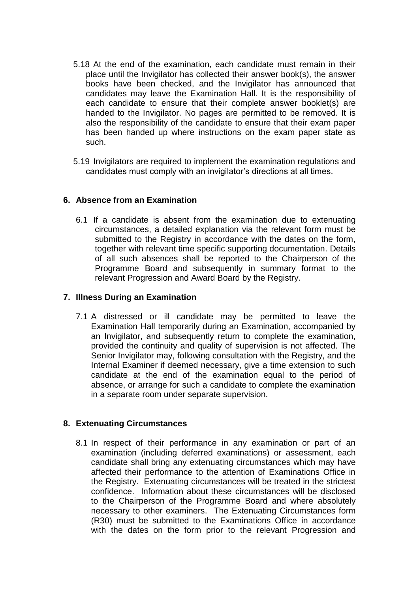- 5.18 At the end of the examination, each candidate must remain in their place until the Invigilator has collected their answer book(s), the answer books have been checked, and the Invigilator has announced that candidates may leave the Examination Hall. It is the responsibility of each candidate to ensure that their complete answer booklet(s) are handed to the Invigilator. No pages are permitted to be removed. It is also the responsibility of the candidate to ensure that their exam paper has been handed up where instructions on the exam paper state as such.
- 5.19 Invigilators are required to implement the examination regulations and candidates must comply with an invigilator's directions at all times.

#### **6. Absence from an Examination**

6.1 If a candidate is absent from the examination due to extenuating circumstances, a detailed explanation via the relevant form must be submitted to the Registry in accordance with the dates on the form, together with relevant time specific supporting documentation. Details of all such absences shall be reported to the Chairperson of the Programme Board and subsequently in summary format to the relevant Progression and Award Board by the Registry.

#### **7. Illness During an Examination**

7.1 A distressed or ill candidate may be permitted to leave the Examination Hall temporarily during an Examination, accompanied by an Invigilator, and subsequently return to complete the examination, provided the continuity and quality of supervision is not affected. The Senior Invigilator may, following consultation with the Registry, and the Internal Examiner if deemed necessary, give a time extension to such candidate at the end of the examination equal to the period of absence, or arrange for such a candidate to complete the examination in a separate room under separate supervision.

#### **8. Extenuating Circumstances**

8.1 In respect of their performance in any examination or part of an examination (including deferred examinations) or assessment, each candidate shall bring any extenuating circumstances which may have affected their performance to the attention of Examinations Office in the Registry. Extenuating circumstances will be treated in the strictest confidence. Information about these circumstances will be disclosed to the Chairperson of the Programme Board and where absolutely necessary to other examiners. The Extenuating Circumstances form (R30) must be submitted to the Examinations Office in accordance with the dates on the form prior to the relevant Progression and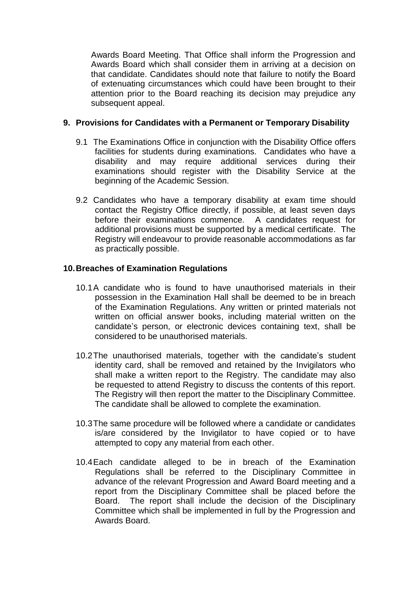Awards Board Meeting. That Office shall inform the Progression and Awards Board which shall consider them in arriving at a decision on that candidate. Candidates should note that failure to notify the Board of extenuating circumstances which could have been brought to their attention prior to the Board reaching its decision may prejudice any subsequent appeal.

#### **9. Provisions for Candidates with a Permanent or Temporary Disability**

- 9.1 The Examinations Office in conjunction with the Disability Office offers facilities for students during examinations. Candidates who have a disability and may require additional services during their examinations should register with the Disability Service at the beginning of the Academic Session.
- 9.2 Candidates who have a temporary disability at exam time should contact the Registry Office directly, if possible, at least seven days before their examinations commence. A candidates request for additional provisions must be supported by a medical certificate. The Registry will endeavour to provide reasonable accommodations as far as practically possible.

# **10.Breaches of Examination Regulations**

- 10.1A candidate who is found to have unauthorised materials in their possession in the Examination Hall shall be deemed to be in breach of the Examination Regulations. Any written or printed materials not written on official answer books, including material written on the candidate's person, or electronic devices containing text, shall be considered to be unauthorised materials.
- 10.2The unauthorised materials, together with the candidate's student identity card, shall be removed and retained by the Invigilators who shall make a written report to the Registry. The candidate may also be requested to attend Registry to discuss the contents of this report. The Registry will then report the matter to the Disciplinary Committee. The candidate shall be allowed to complete the examination.
- 10.3The same procedure will be followed where a candidate or candidates is/are considered by the Invigilator to have copied or to have attempted to copy any material from each other.
- 10.4Each candidate alleged to be in breach of the Examination Regulations shall be referred to the Disciplinary Committee in advance of the relevant Progression and Award Board meeting and a report from the Disciplinary Committee shall be placed before the Board. The report shall include the decision of the Disciplinary Committee which shall be implemented in full by the Progression and Awards Board.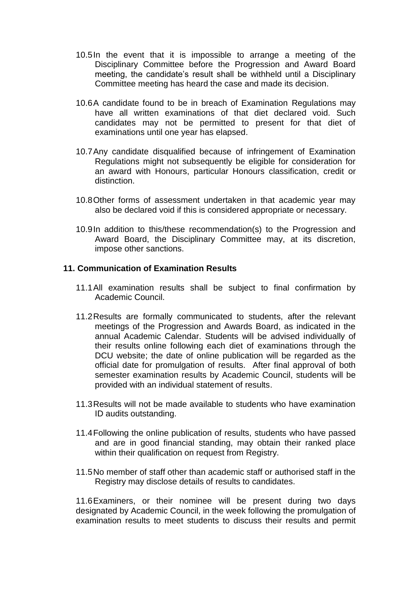- 10.5In the event that it is impossible to arrange a meeting of the Disciplinary Committee before the Progression and Award Board meeting, the candidate's result shall be withheld until a Disciplinary Committee meeting has heard the case and made its decision.
- 10.6A candidate found to be in breach of Examination Regulations may have all written examinations of that diet declared void. Such candidates may not be permitted to present for that diet of examinations until one year has elapsed.
- 10.7Any candidate disqualified because of infringement of Examination Regulations might not subsequently be eligible for consideration for an award with Honours, particular Honours classification, credit or distinction.
- 10.8Other forms of assessment undertaken in that academic year may also be declared void if this is considered appropriate or necessary.
- 10.9In addition to this/these recommendation(s) to the Progression and Award Board, the Disciplinary Committee may, at its discretion, impose other sanctions.

#### **11. Communication of Examination Results**

- 11.1All examination results shall be subject to final confirmation by Academic Council.
- 11.2Results are formally communicated to students, after the relevant meetings of the Progression and Awards Board, as indicated in the annual Academic Calendar. Students will be advised individually of their results online following each diet of examinations through the DCU website; the date of online publication will be regarded as the official date for promulgation of results. After final approval of both semester examination results by Academic Council, students will be provided with an individual statement of results.
- 11.3Results will not be made available to students who have examination ID audits outstanding.
- 11.4Following the online publication of results, students who have passed and are in good financial standing, may obtain their ranked place within their qualification on request from Registry.
- 11.5No member of staff other than academic staff or authorised staff in the Registry may disclose details of results to candidates.

11.6Examiners, or their nominee will be present during two days designated by Academic Council, in the week following the promulgation of examination results to meet students to discuss their results and permit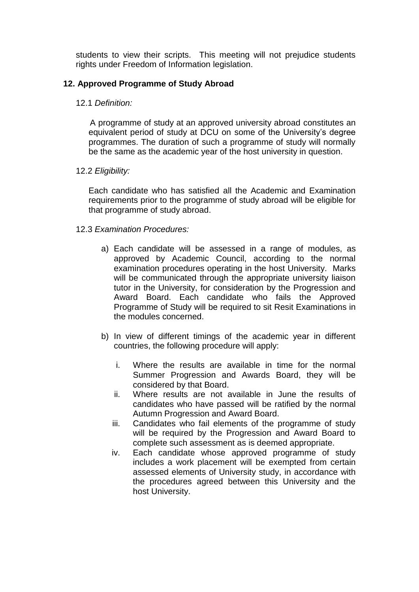students to view their scripts. This meeting will not prejudice students rights under Freedom of Information legislation.

# **12. Approved Programme of Study Abroad**

#### 12.1 *Definition:*

 A programme of study at an approved university abroad constitutes an equivalent period of study at DCU on some of the University's degree programmes. The duration of such a programme of study will normally be the same as the academic year of the host university in question.

#### 12.2 *Eligibility:*

Each candidate who has satisfied all the Academic and Examination requirements prior to the programme of study abroad will be eligible for that programme of study abroad.

#### 12.3 *Examination Procedures:*

- a) Each candidate will be assessed in a range of modules, as approved by Academic Council, according to the normal examination procedures operating in the host University. Marks will be communicated through the appropriate university liaison tutor in the University, for consideration by the Progression and Award Board. Each candidate who fails the Approved Programme of Study will be required to sit Resit Examinations in the modules concerned.
- b) In view of different timings of the academic year in different countries, the following procedure will apply:
	- i. Where the results are available in time for the normal Summer Progression and Awards Board, they will be considered by that Board.
	- ii. Where results are not available in June the results of candidates who have passed will be ratified by the normal Autumn Progression and Award Board.
	- iii. Candidates who fail elements of the programme of study will be required by the Progression and Award Board to complete such assessment as is deemed appropriate.
	- iv. Each candidate whose approved programme of study includes a work placement will be exempted from certain assessed elements of University study, in accordance with the procedures agreed between this University and the host University.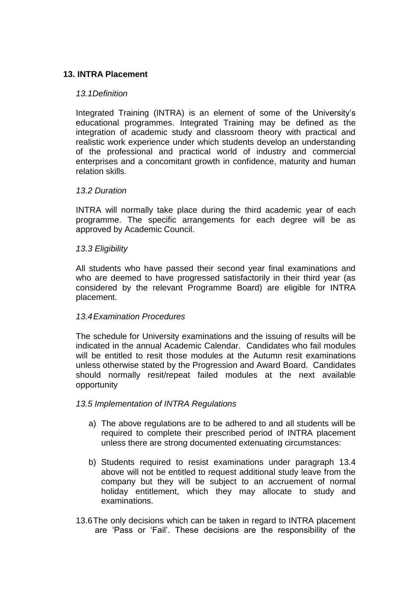# **13. INTRA Placement**

#### *13.1Definition*

Integrated Training (INTRA) is an element of some of the University's educational programmes. Integrated Training may be defined as the integration of academic study and classroom theory with practical and realistic work experience under which students develop an understanding of the professional and practical world of industry and commercial enterprises and a concomitant growth in confidence, maturity and human relation skills.

#### *13.2 Duration*

INTRA will normally take place during the third academic year of each programme. The specific arrangements for each degree will be as approved by Academic Council.

#### *13.3 Eligibility*

All students who have passed their second year final examinations and who are deemed to have progressed satisfactorily in their third year (as considered by the relevant Programme Board) are eligible for INTRA placement.

#### *13.4Examination Procedures*

The schedule for University examinations and the issuing of results will be indicated in the annual Academic Calendar. Candidates who fail modules will be entitled to resit those modules at the Autumn resit examinations unless otherwise stated by the Progression and Award Board. Candidates should normally resit/repeat failed modules at the next available opportunity

#### *13.5 Implementation of INTRA Regulations*

- a) The above regulations are to be adhered to and all students will be required to complete their prescribed period of INTRA placement unless there are strong documented extenuating circumstances:
- b) Students required to resist examinations under paragraph 13.4 above will not be entitled to request additional study leave from the company but they will be subject to an accruement of normal holiday entitlement, which they may allocate to study and examinations.
- 13.6The only decisions which can be taken in regard to INTRA placement are 'Pass or 'Fail'. These decisions are the responsibility of the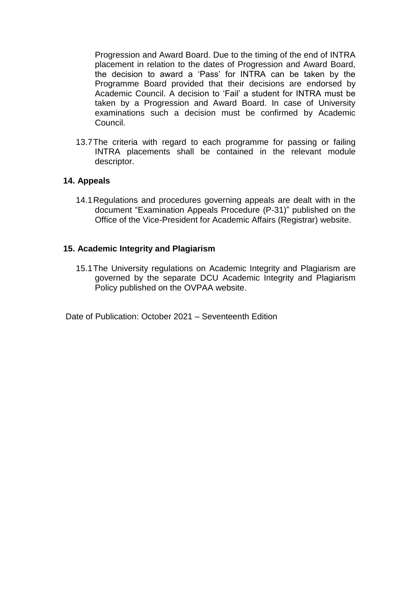Progression and Award Board. Due to the timing of the end of INTRA placement in relation to the dates of Progression and Award Board, the decision to award a 'Pass' for INTRA can be taken by the Programme Board provided that their decisions are endorsed by Academic Council. A decision to 'Fail' a student for INTRA must be taken by a Progression and Award Board. In case of University examinations such a decision must be confirmed by Academic Council.

13.7The criteria with regard to each programme for passing or failing INTRA placements shall be contained in the relevant module descriptor.

#### **14. Appeals**

14.1Regulations and procedures governing appeals are dealt with in the document "Examination Appeals Procedure (P-31)" published on the Office of the Vice-President for Academic Affairs (Registrar) website.

#### **15. Academic Integrity and Plagiarism**

15.1The University regulations on Academic Integrity and Plagiarism are governed by the separate DCU Academic Integrity and Plagiarism Policy published on the OVPAA website.

Date of Publication: October 2021 – Seventeenth Edition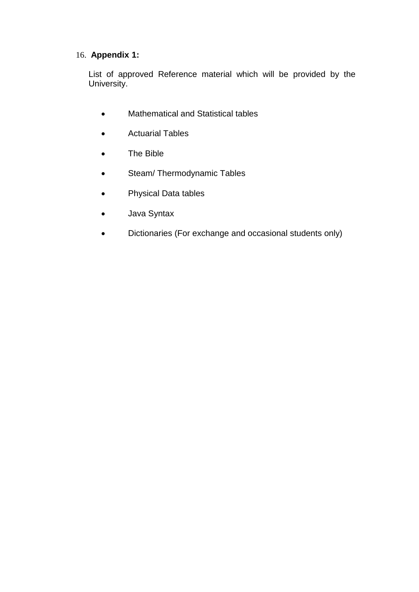# 16. **Appendix 1:**

List of approved Reference material which will be provided by the University.

- Mathematical and Statistical tables
- Actuarial Tables
- The Bible
- Steam/ Thermodynamic Tables
- Physical Data tables
- Java Syntax
- Dictionaries (For exchange and occasional students only)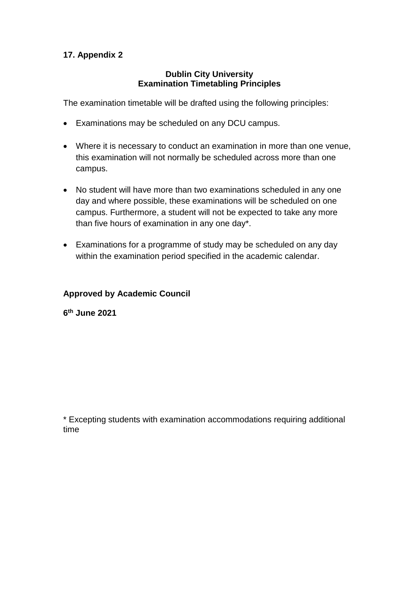# **17. Appendix 2**

## **Dublin City University Examination Timetabling Principles**

The examination timetable will be drafted using the following principles:

- Examinations may be scheduled on any DCU campus.
- Where it is necessary to conduct an examination in more than one venue, this examination will not normally be scheduled across more than one campus.
- No student will have more than two examinations scheduled in any one day and where possible, these examinations will be scheduled on one campus. Furthermore, a student will not be expected to take any more than five hours of examination in any one day\*.
- Examinations for a programme of study may be scheduled on any day within the examination period specified in the academic calendar.

# **Approved by Academic Council**

**6 th June 2021**

\* Excepting students with examination accommodations requiring additional time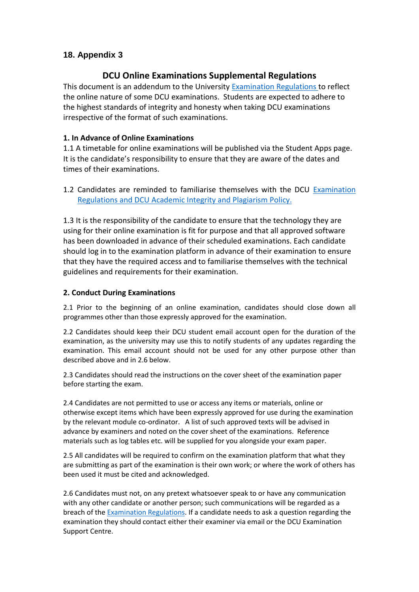# **18. Appendix 3**

# **DCU Online Examinations Supplemental Regulations**

This document is an addendum to the University **Examination Regulations to reflect** the online nature of some DCU examinations. Students are expected to adhere to the highest standards of integrity and honesty when taking DCU examinations irrespective of the format of such examinations.

#### **1. In Advance of Online Examinations**

1.1 A timetable for online examinations will be published via the Student Apps page. It is the candidate's responsibility to ensure that they are aware of the dates and times of their examinations.

1.2 Candidates are reminded to familiarise themselves with the DCU [Examination](https://www.dcu.ie/sites/default/files/inline-files/examination_regulations_2019-20_fm.pdf)  [Regulations](https://www.dcu.ie/sites/default/files/inline-files/examination_regulations_2019-20_fm.pdf) and DCU [Academic Integrity and Plagiarism](https://www.dcu.ie/sites/default/files/policy/1_-_integrity_and_plagiarism_policy_ovpaa-v4.pdf) Policy.

1.3 It is the responsibility of the candidate to ensure that the technology they are using for their online examination is fit for purpose and that all approved software has been downloaded in advance of their scheduled examinations. Each candidate should log in to the examination platform in advance of their examination to ensure that they have the required access and to familiarise themselves with the technical guidelines and requirements for their examination.

#### **2. Conduct During Examinations**

2.1 Prior to the beginning of an online examination, candidates should close down all programmes other than those expressly approved for the examination.

2.2 Candidates should keep their DCU student email account open for the duration of the examination, as the university may use this to notify students of any updates regarding the examination. This email account should not be used for any other purpose other than described above and in 2.6 below.

2.3 Candidates should read the instructions on the cover sheet of the examination paper before starting the exam.

2.4 Candidates are not permitted to use or access any items or materials, online or otherwise except items which have been expressly approved for use during the examination by the relevant module co-ordinator. A list of such approved texts will be advised in advance by examiners and noted on the cover sheet of the examinations. Reference materials such as log tables etc. will be supplied for you alongside your exam paper.

2.5 All candidates will be required to confirm on the examination platform that what they are submitting as part of the examination is their own work; or where the work of others has been used it must be cited and acknowledged.

2.6 Candidates must not, on any pretext whatsoever speak to or have any communication with any other candidate or another person; such communications will be regarded as a breach of the [Examination Regulations.](https://www.dcu.ie/sites/default/files/inline-files/examination_regulations_2019-20_fm.pdf) If a candidate needs to ask a question regarding the examination they should contact either their examiner via email or the DCU Examination Support Centre.